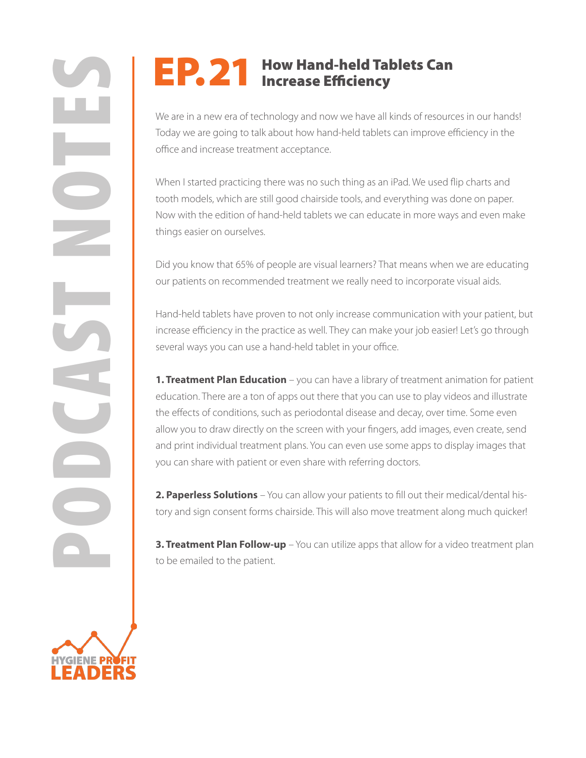## EP. 21 How Hand-held Tablets Can<br>Increase Efficiency

We are in a new era of technology and now we have all kinds of resources in our hands! Today we are going to talk about how hand-held tablets can improve efficiency in the office and increase treatment acceptance.

When I started practicing there was no such thing as an iPad. We used flip charts and tooth models, which are still good chairside tools, and everything was done on paper. Now with the edition of hand-held tablets we can educate in more ways and even make things easier on ourselves.

Did you know that 65% of people are visual learners? That means when we are educating our patients on recommended treatment we really need to incorporate visual aids.

Hand-held tablets have proven to not only increase communication with your patient, but increase efficiency in the practice as well. They can make your job easier! Let's go through several ways you can use a hand-held tablet in your office.

**PORTURE THE SET INTERNATION**<br>
We are in a new era of technology and now we have all kinds of resource of<br>
Tody we are going to talk about how hand-held tablets can improve<br>
office and increase technology and now we have a **1. Treatment Plan Education** – you can have a library of treatment animation for patient education. There are a ton of apps out there that you can use to play videos and illustrate the effects of conditions, such as periodontal disease and decay, over time. Some even allow you to draw directly on the screen with your fingers, add images, even create, send and print individual treatment plans. You can even use some apps to display images that you can share with patient or even share with referring doctors.

**2. Paperless Solutions** – You can allow your patients to fill out their medical/dental history and sign consent forms chairside. This will also move treatment along much quicker!

**3. Treatment Plan Follow-up** – You can utilize apps that allow for a video treatment plan to be emailed to the patient.